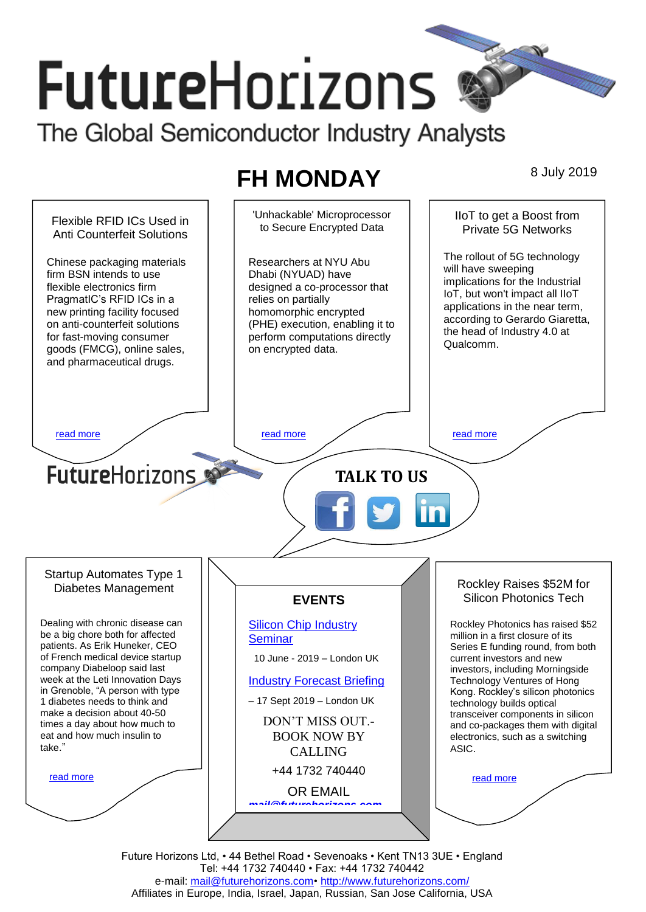# **FutureHorizons**

The Global Semiconductor Industry Analysts

## **FH MONDAY** 8 July 2019

'Unhackable' Microprocessor IIoT to get a Boost from Flexible RFID ICs Used in to Secure Encrypted Data Private 5G Networks Anti Counterfeit Solutions The rollout of 5G technology Chinese packaging materials Researchers at NYU Abu will have sweeping firm BSN intends to use Dhabi (NYUAD) have implications for the Industrial flexible electronics firm designed a co-processor that IoT, but won't impact all IIoT PragmatIC's RFID ICs in a relies on partially applications in the near term, new printing facility focused homomorphic encrypted according to Gerardo Giaretta, on anti-counterfeit solutions (PHE) execution, enabling it to the head of Industry 4.0 at for fast-moving consumer perform computations directly Qualcomm. goods (FMCG), online sales, on encrypted data. and pharmaceutical drugs. [read more](#page-1-1) that the second contract the second contract of the read more that the read more that the read more **Future**Horizons **TALK TO US** Startup Automates Type 1 Rockley Raises \$52M for Diabetes Management Silicon Photonics Tech **EVENTS** Dealing with chronic disease can [Silicon Chip Industry](http://www.futurehorizons.com/page/12/silicon-chip-training)  Rockley Photonics has raised \$52 be a big chore both for affected million in a first closure of its **[Seminar](http://www.futurehorizons.com/page/12/silicon-chip-training)** patients. As Erik Huneker, CEO Series E funding round, from both of French medical device startup 10 June - 2019 – London UK current investors and new company Diabeloop said last investors, including Morningside week at the Leti Innovation Days [Industry Forecast Briefing](http://www.futurehorizons.com/page/13/Semiconductor-Market-Forecast-Seminar) Technology Ventures of Hong in Grenoble, "A person with type Kong. Rockley's silicon photonics – 17 Sept 2019 – London UK 1 diabetes needs to think and technology builds optical make a decision about 40-50 transceiver components in silicon DON'T MISS OUT. times a day about how much to and co-packages them with digital eat and how much insulin to BOOK NOW BY electronics, such as a switching take."ASIC. CALLING +44 1732 740440 [read more](#page-1-3) [read more](#page-1-4) OR EMAIL *[mail@futurehorizons.com](mailto:mail@futurehorizons.com)*

Future Horizons Ltd, • 44 Bethel Road • Sevenoaks • Kent TN13 3UE • England Tel: +44 1732 740440 • Fax: +44 1732 740442 e-mail: [mail@futurehorizons.com•](../FH%20Monday%20-%202017/mail@futurehorizons.com)<http://www.futurehorizons.com/> Affiliates in Europe, India, Israel, Japan, Russian, San Jose California, USA